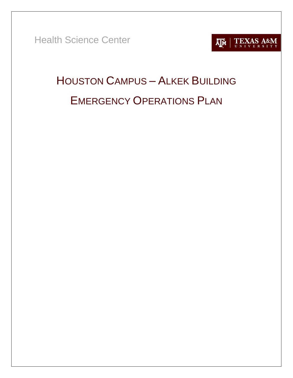Health Science Center



# <span id="page-0-0"></span>HOUSTON CAMPUS – ALKEK BUILDING EMERGENCY OPERATIONS PLAN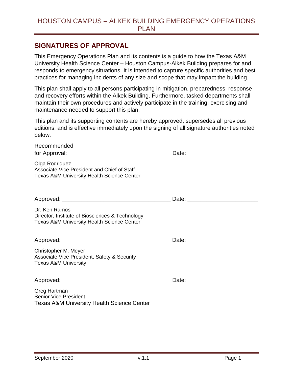## <span id="page-1-0"></span>**SIGNATURES OF APPROVAL**

This Emergency Operations Plan and its contents is a guide to how the Texas A&M University Health Science Center – Houston Campus-Alkek Building prepares for and responds to emergency situations. It is intended to capture specific authorities and best practices for managing incidents of any size and scope that may impact the building.

This plan shall apply to all persons participating in mitigation, preparedness, response and recovery efforts within the Alkek Building. Furthermore, tasked departments shall maintain their own procedures and actively participate in the training, exercising and maintenance needed to support this plan.

This plan and its supporting contents are hereby approved, supersedes all previous editions, and is effective immediately upon the signing of all signature authorities noted below.

| Recommended                                                                                                               | Date: <u>_________________________________</u> |
|---------------------------------------------------------------------------------------------------------------------------|------------------------------------------------|
| Olga Rodriquez<br>Associate Vice President and Chief of Staff<br><b>Texas A&amp;M University Health Science Center</b>    |                                                |
|                                                                                                                           |                                                |
| Dr. Ken Ramos<br>Director, Institute of Biosciences & Technology<br><b>Texas A&amp;M University Health Science Center</b> |                                                |
|                                                                                                                           |                                                |
| Christopher M. Meyer<br>Associate Vice President, Safety & Security<br><b>Texas A&amp;M University</b>                    |                                                |
|                                                                                                                           |                                                |
| Greg Hartman<br><b>Senior Vice President</b><br><b>Texas A&amp;M University Health Science Center</b>                     |                                                |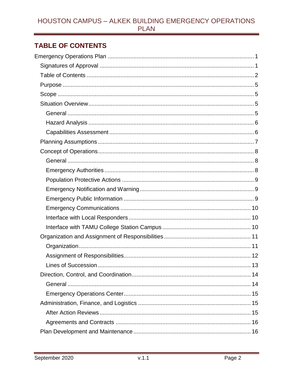# <span id="page-2-0"></span>**TABLE OF CONTENTS**

| Lines of Succession | 13 |
|---------------------|----|
|                     |    |
|                     |    |
|                     |    |
|                     |    |
|                     |    |
|                     |    |
|                     |    |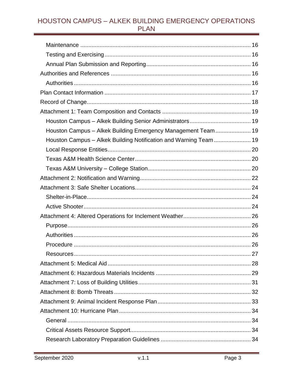| Houston Campus - Alkek Building Emergency Management Team 19     |  |
|------------------------------------------------------------------|--|
| Houston Campus - Alkek Building Notification and Warning Team 19 |  |
|                                                                  |  |
|                                                                  |  |
|                                                                  |  |
|                                                                  |  |
|                                                                  |  |
|                                                                  |  |
|                                                                  |  |
|                                                                  |  |
|                                                                  |  |
|                                                                  |  |
|                                                                  |  |
|                                                                  |  |
|                                                                  |  |
|                                                                  |  |
|                                                                  |  |
|                                                                  |  |
|                                                                  |  |
|                                                                  |  |
|                                                                  |  |
|                                                                  |  |
|                                                                  |  |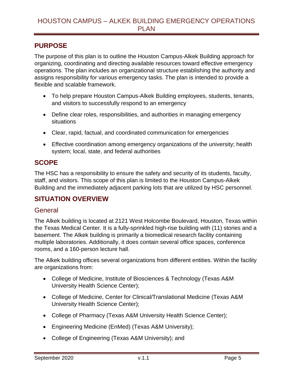## <span id="page-5-0"></span>**PURPOSE**

The purpose of this plan is to outline the Houston Campus-Alkek Building approach for organizing, coordinating and directing available resources toward effective emergency operations. The plan includes an organizational structure establishing the authority and assigns responsibility for various emergency tasks. The plan is intended to provide a flexible and scalable framework.

- To help prepare Houston Campus-Alkek Building employees, students, tenants, and visitors to successfully respond to an emergency
- Define clear roles, responsibilities, and authorities in managing emergency situations
- Clear, rapid, factual, and coordinated communication for emergencies
- Effective coordination among emergency organizations of the university; health system; local, state, and federal authorities

# <span id="page-5-1"></span>**SCOPE**

The HSC has a responsibility to ensure the safety and security of its students, faculty, staff, and visitors. This scope of this plan is limited to the Houston Campus-Alkek Building and the immediately adjacent parking lots that are utilized by HSC personnel.

# <span id="page-5-2"></span>**SITUATION OVERVIEW**

#### <span id="page-5-3"></span>**General**

The Alkek building is located at 2121 West Holcombe Boulevard, Houston, Texas within the Texas Medical Center. It is a fully-sprinkled high-rise building with (11) stories and a basement. The Alkek building is primarily a biomedical research facility containing multiple laboratories. Additionally, it does contain several office spaces, conference rooms, and a 160-person lecture hall.

The Alkek building offices several organizations from different entities. Within the facility are organizations from:

- College of Medicine, Institute of Biosciences & Technology (Texas A&M University Health Science Center);
- College of Medicine, Center for Clinical/Translational Medicine (Texas A&M University Health Science Center);
- College of Pharmacy (Texas A&M University Health Science Center);
- Engineering Medicine (EnMed) (Texas A&M University);
- College of Engineering (Texas A&M University); and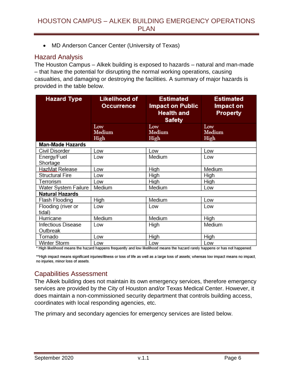MD Anderson Cancer Center (University of Texas)

## <span id="page-6-0"></span>Hazard Analysis

The Houston Campus – Alkek building is exposed to hazards – natural and man-made – that have the potential for disrupting the normal working operations, causing casualties, and damaging or destroying the facilities. A summary of major hazards is provided in the table below.

| <b>Hazard Type</b>             | <b>Likelihood of</b><br><b>Estimated</b><br><b>Impact on Public</b><br>Occurrence<br><b>Health and</b><br><b>Safety</b> |               | <b>Estimated</b><br>Impact on<br><b>Property</b> |
|--------------------------------|-------------------------------------------------------------------------------------------------------------------------|---------------|--------------------------------------------------|
|                                | Low<br>Medium                                                                                                           | Low<br>Medium | Low<br>Medium                                    |
|                                | High                                                                                                                    | High          | High                                             |
| <b>Man-Made Hazards</b>        |                                                                                                                         |               |                                                  |
| Civil Disorder                 | Low                                                                                                                     | Low           | Low                                              |
| Energy/Fuel<br>Shortage        | Low                                                                                                                     | Medium        | Low                                              |
| HazMat Release                 | Low                                                                                                                     | High          | Medium                                           |
| Structural Fire                | Low                                                                                                                     | High          | High                                             |
| Terrorism                      | Low                                                                                                                     | High          | High                                             |
| Water System Failure           | Medium                                                                                                                  | Medium        | Low                                              |
| Natural Hazards                |                                                                                                                         |               |                                                  |
| Flash Flooding                 | High                                                                                                                    | Medium        | Low                                              |
| Flooding (river or<br>tidal)   | Low                                                                                                                     | Low           | Low                                              |
| Hurricane                      | Medium                                                                                                                  | Medium        | High                                             |
| Infectious Disease<br>Outbreak | Low                                                                                                                     | High          | Medium                                           |
| Tornado                        | Low                                                                                                                     | High          | High                                             |
| Winter Storm                   | Low                                                                                                                     | Low           | Low                                              |

\* High likelihood means the hazard happens frequently and low likelihood means the hazard rarely happens or has not happened.

\*\*High impact means significant injuries/illness or loss of life as well as a large loss of assets; whereas low impact means no impact, no injuries, minor loss of assets.

# <span id="page-6-1"></span>Capabilities Assessment

The Alkek building does not maintain its own emergency services, therefore emergency services are provided by the City of Houston and/or Texas Medical Center. However, it does maintain a non-commissioned security department that controls building access, coordinates with local responding agencies, etc.

The primary and secondary agencies for emergency services are listed below.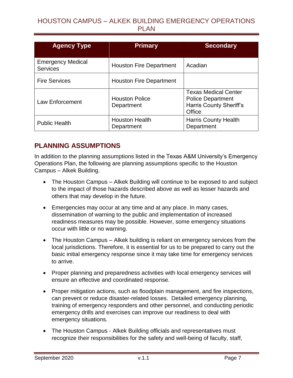| <b>Agency Type</b>                          | <b>Primary</b>                      | <b>Secondary</b>                                                                                    |
|---------------------------------------------|-------------------------------------|-----------------------------------------------------------------------------------------------------|
| <b>Emergency Medical</b><br><b>Services</b> | <b>Houston Fire Department</b>      | Acadian                                                                                             |
| <b>Fire Services</b>                        | <b>Houston Fire Department</b>      |                                                                                                     |
| Law Enforcement                             | <b>Houston Police</b><br>Department | <b>Texas Medical Center</b><br><b>Police Department</b><br><b>Harris County Sheriff's</b><br>Office |
| <b>Public Health</b>                        | <b>Houston Health</b><br>Department | <b>Harris County Health</b><br>Department                                                           |

## <span id="page-7-0"></span>**PLANNING ASSUMPTIONS**

In addition to the planning assumptions listed in the Texas A&M University's Emergency Operations Plan, the following are planning assumptions specific to the Houston Campus – Alkek Building.

- The Houston Campus Alkek Building will continue to be exposed to and subject to the impact of those hazards described above as well as lesser hazards and others that may develop in the future.
- Emergencies may occur at any time and at any place. In many cases, dissemination of warning to the public and implementation of increased readiness measures may be possible. However, some emergency situations occur with little or no warning.
- The Houston Campus Alkek building is reliant on emergency services from the local jurisdictions. Therefore, it is essential for us to be prepared to carry out the basic initial emergency response since it may take time for emergency services to arrive.
- Proper planning and preparedness activities with local emergency services will ensure an effective and coordinated response.
- Proper mitigation actions, such as floodplain management, and fire inspections, can prevent or reduce disaster-related losses. Detailed emergency planning, training of emergency responders and other personnel, and conducting periodic emergency drills and exercises can improve our readiness to deal with emergency situations.
- The Houston Campus Alkek Building officials and representatives must recognize their responsibilities for the safety and well-being of faculty, staff,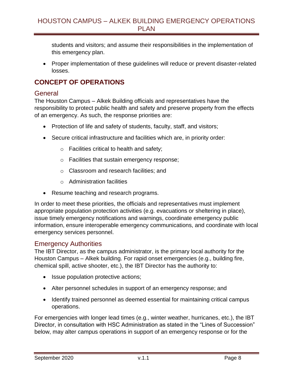students and visitors; and assume their responsibilities in the implementation of this emergency plan.

 Proper implementation of these guidelines will reduce or prevent disaster-related losses.

# <span id="page-8-0"></span>**CONCEPT OF OPERATIONS**

#### <span id="page-8-1"></span>General

The Houston Campus – Alkek Building officials and representatives have the responsibility to protect public health and safety and preserve property from the effects of an emergency. As such, the response priorities are:

- Protection of life and safety of students, faculty, staff, and visitors;
- Secure critical infrastructure and facilities which are, in priority order:
	- o Facilities critical to health and safety;
	- o Facilities that sustain emergency response;
	- o Classroom and research facilities; and
	- o Administration facilities
- Resume teaching and research programs.

In order to meet these priorities, the officials and representatives must implement appropriate population protection activities (e.g. evacuations or sheltering in place), issue timely emergency notifications and warnings, coordinate emergency public information, ensure interoperable emergency communications, and coordinate with local emergency services personnel.

#### <span id="page-8-2"></span>Emergency Authorities

The IBT Director, as the campus administrator, is the primary local authority for the Houston Campus – Alkek building. For rapid onset emergencies (e.g., building fire, chemical spill, active shooter, etc.), the IBT Director has the authority to:

- Issue population protective actions;
- Alter personnel schedules in support of an emergency response; and
- Identify trained personnel as deemed essential for maintaining critical campus operations.

For emergencies with longer lead times (e.g., winter weather, hurricanes, etc.), the IBT Director, in consultation with HSC Administration as stated in the "Lines of Succession" below, may alter campus operations in support of an emergency response or for the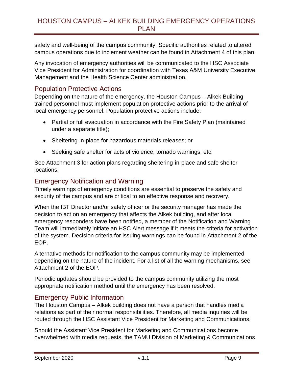safety and well-being of the campus community. Specific authorities related to altered campus operations due to inclement weather can be found in Attachment 4 of this plan.

Any invocation of emergency authorities will be communicated to the HSC Associate Vice President for Administration for coordination with Texas A&M University Executive Management and the Health Science Center administration.

## <span id="page-9-0"></span>Population Protective Actions

Depending on the nature of the emergency, the Houston Campus – Alkek Building trained personnel must implement population protective actions prior to the arrival of local emergency personnel. Population protective actions include:

- Partial or full evacuation in accordance with the Fire Safety Plan (maintained under a separate title);
- Sheltering-in-place for hazardous materials releases; or
- Seeking safe shelter for acts of violence, tornado warnings, etc.

See Attachment 3 for action plans regarding sheltering-in-place and safe shelter locations.

## <span id="page-9-1"></span>Emergency Notification and Warning

Timely warnings of emergency conditions are essential to preserve the safety and security of the campus and are critical to an effective response and recovery.

When the IBT Director and/or safety officer or the security manager has made the decision to act on an emergency that affects the Alkek building, and after local emergency responders have been notified, a member of the Notification and Warning Team will immediately initiate an HSC Alert message if it meets the criteria for activation of the system. Decision criteria for issuing warnings can be found in Attachment 2 of the EOP.

Alternative methods for notification to the campus community may be implemented depending on the nature of the incident. For a list of all the warning mechanisms, see Attachment 2 of the EOP.

Periodic updates should be provided to the campus community utilizing the most appropriate notification method until the emergency has been resolved.

## <span id="page-9-2"></span>Emergency Public Information

The Houston Campus – Alkek building does not have a person that handles media relations as part of their normal responsibilities. Therefore, all media inquiries will be routed through the HSC Assistant Vice President for Marketing and Communications.

Should the Assistant Vice President for Marketing and Communications become overwhelmed with media requests, the TAMU Division of Marketing & Communications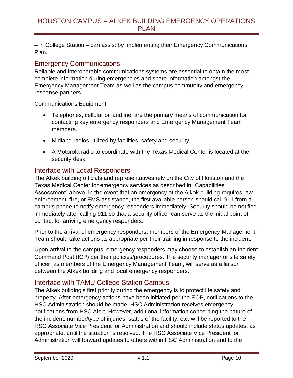– in College Station – can assist by implementing their Emergency Communications Plan.

## <span id="page-10-0"></span>Emergency Communications

Reliable and interoperable communications systems are essential to obtain the most complete information during emergencies and share information amongst the Emergency Management Team as well as the campus community and emergency response partners.

Communications Equipment

- Telephones, cellular or landline, are the primary means of communication for contacting key emergency responders and Emergency Management Team members.
- Midland radios utilized by facilities, safety and security
- A Motorola radio to coordinate with the Texas Medical Center is located at the security desk

## <span id="page-10-1"></span>Interface with Local Responders

The Alkek building officials and representatives rely on the City of Houston and the Texas Medical Center for emergency services as described in "Capabilities Assessment" above. In the event that an emergency at the Alkek building requires law enforcement, fire, or EMS assistance, the first available person should call 911 from a campus phone to notify emergency responders immediately. Security should be notified immediately after calling 911 so that a security officer can serve as the initial point of contact for arriving emergency responders.

Prior to the arrival of emergency responders, members of the Emergency Management Team should take actions as appropriate per their training in response to the incident.

Upon arrival to the campus, emergency responders may choose to establish an Incident Command Post (ICP) per their policies/procedures. The security manager or site safety officer, as members of the Emergency Management Team, will serve as a liaison between the Alkek building and local emergency responders.

## <span id="page-10-2"></span>Interface with TAMU College Station Campus

The Alkek building's first priority during the emergency is to protect life safety and property. After emergency actions have been initiated per the EOP, notifications to the HSC Administration should be made. HSC Administration receives emergency notifications from HSC Alert. However, additional information concerning the nature of the incident, number/type of injuries, status of the facility, etc. will be reported to the HSC Associate Vice President for Administration and should include status updates, as appropriate, until the situation is resolved. The HSC Associate Vice President for Administration will forward updates to others within HSC Administration and to the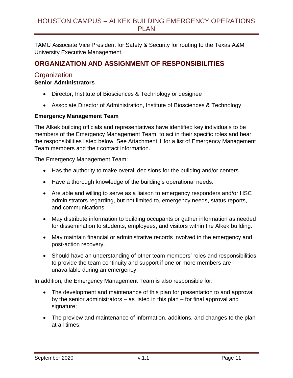TAMU Associate Vice President for Safety & Security for routing to the Texas A&M University Executive Management.

# <span id="page-11-0"></span>**ORGANIZATION AND ASSIGNMENT OF RESPONSIBILITIES**

#### <span id="page-11-1"></span>**Organization**

#### **Senior Administrators**

- Director, Institute of Biosciences & Technology or designee
- Associate Director of Administration, Institute of Biosciences & Technology

#### **Emergency Management Team**

The Alkek building officials and representatives have identified key individuals to be members of the Emergency Management Team, to act in their specific roles and bear the responsibilities listed below. See Attachment 1 for a list of Emergency Management Team members and their contact information.

The Emergency Management Team:

- Has the authority to make overall decisions for the building and/or centers.
- Have a thorough knowledge of the building's operational needs.
- Are able and willing to serve as a liaison to emergency responders and/or HSC administrators regarding, but not limited to, emergency needs, status reports, and communications.
- May distribute information to building occupants or gather information as needed for dissemination to students, employees, and visitors within the Alkek building.
- May maintain financial or administrative records involved in the emergency and post-action recovery.
- Should have an understanding of other team members' roles and responsibilities to provide the team continuity and support if one or more members are unavailable during an emergency.

In addition, the Emergency Management Team is also responsible for:

- The development and maintenance of this plan for presentation to and approval by the senior administrators – as listed in this plan – for final approval and signature;
- The preview and maintenance of information, additions, and changes to the plan at all times;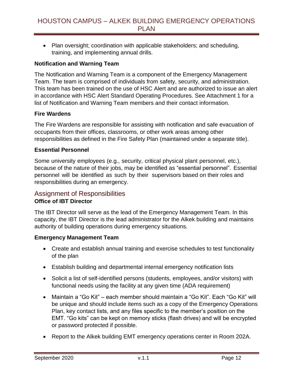• Plan oversight; coordination with applicable stakeholders; and scheduling, training, and implementing annual drills.

#### **Notification and Warning Team**

The Notification and Warning Team is a component of the Emergency Management Team. The team is comprised of individuals from safety, security, and administration. This team has been trained on the use of HSC Alert and are authorized to issue an alert in accordance with HSC Alert Standard Operating Procedures. See Attachment 1 for a list of Notification and Warning Team members and their contact information.

#### **Fire Wardens**

The Fire Wardens are responsible for assisting with notification and safe evacuation of occupants from their offices, classrooms, or other work areas among other responsibilities as defined in the Fire Safety Plan (maintained under a separate title).

#### **Essential Personnel**

Some university employees (e.g., security, critical physical plant personnel, etc.), because of the nature of their jobs, may be identified as "essential personnel". Essential personnel will be identified as such by their supervisors based on their roles and responsibilities during an emergency.

#### <span id="page-12-0"></span>Assignment of Responsibilities **Office of IBT Director**

The IBT Director will serve as the lead of the Emergency Management Team. In this capacity, the IBT Director is the lead administrator for the Alkek building and maintains authority of building operations during emergency situations.

#### **Emergency Management Team**

- Create and establish annual training and exercise schedules to test functionality of the plan
- Establish building and departmental internal emergency notification lists
- Solicit a list of self-identified persons (students, employees, and/or visitors) with functional needs using the facility at any given time (ADA requirement)
- Maintain a "Go Kit" each member should maintain a "Go Kit". Each "Go Kit" will be unique and should include items such as a copy of the Emergency Operations Plan, key contact lists, and any files specific to the member's position on the EMT. "Go kits" can be kept on memory sticks (flash drives) and will be encrypted or password protected if possible.
- Report to the Alkek building EMT emergency operations center in Room 202A.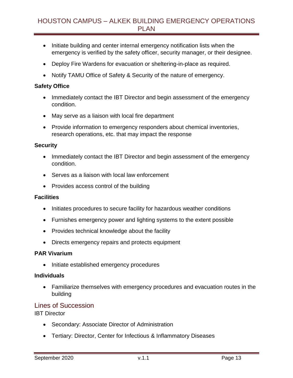- Initiate building and center internal emergency notification lists when the emergency is verified by the safety officer, security manager, or their designee.
- Deploy Fire Wardens for evacuation or sheltering-in-place as required.
- Notify TAMU Office of Safety & Security of the nature of emergency.

#### **Safety Office**

- Immediately contact the IBT Director and begin assessment of the emergency condition.
- May serve as a liaison with local fire department
- Provide information to emergency responders about chemical inventories, research operations, etc. that may impact the response

#### **Security**

- Immediately contact the IBT Director and begin assessment of the emergency condition.
- Serves as a liaison with local law enforcement
- Provides access control of the building

#### **Facilities**

- Initiates procedures to secure facility for hazardous weather conditions
- Furnishes emergency power and lighting systems to the extent possible
- Provides technical knowledge about the facility
- Directs emergency repairs and protects equipment

#### **PAR Vivarium**

• Initiate established emergency procedures

#### **Individuals**

 Familiarize themselves with emergency procedures and evacuation routes in the building

#### <span id="page-13-0"></span>Lines of Succession

IBT Director

- Secondary: Associate Director of Administration
- Tertiary: Director, Center for Infectious & Inflammatory Diseases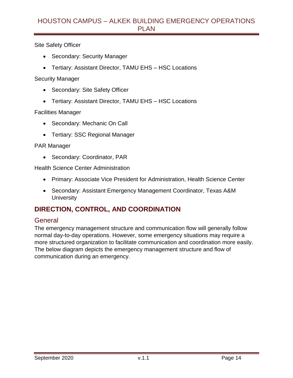Site Safety Officer

- Secondary: Security Manager
- Tertiary: Assistant Director, TAMU EHS HSC Locations

Security Manager

- Secondary: Site Safety Officer
- Tertiary: Assistant Director, TAMU EHS HSC Locations

#### Facilities Manager

- Secondary: Mechanic On Call
- Tertiary: SSC Regional Manager

#### PAR Manager

• Secondary: Coordinator, PAR

Health Science Center Administration

- Primary: Associate Vice President for Administration, Health Science Center
- Secondary: Assistant Emergency Management Coordinator, Texas A&M **University**

# <span id="page-14-0"></span>**DIRECTION, CONTROL, AND COORDINATION**

#### <span id="page-14-1"></span>**General**

The emergency management structure and communication flow will generally follow normal day-to-day operations. However, some emergency situations may require a more structured organization to facilitate communication and coordination more easily. The below diagram depicts the emergency management structure and flow of communication during an emergency.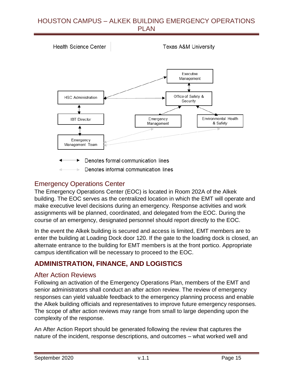**Health Science Center Texas A&M University** Executive Management Office of Safety & **HSC Administration** Security Environmental Health **IBT** Director Emergency Management & Safety Emergency Management Team Denotes formal communication lines Denotes informal communication lines

# <span id="page-15-0"></span>Emergency Operations Center

The Emergency Operations Center (EOC) is located in Room 202A of the Alkek building. The EOC serves as the centralized location in which the EMT will operate and make executive level decisions during an emergency. Response activities and work assignments will be planned, coordinated, and delegated from the EOC. During the course of an emergency, designated personnel should report directly to the EOC.

In the event the Alkek building is secured and access is limited, EMT members are to enter the building at Loading Dock door 120. If the gate to the loading dock is closed, an alternate entrance to the building for EMT members is at the front portico. Appropriate campus identification will be necessary to proceed to the EOC.

# <span id="page-15-1"></span>**ADMINISTRATION, FINANCE, AND LOGISTICS**

#### <span id="page-15-2"></span>After Action Reviews

Following an activation of the Emergency Operations Plan, members of the EMT and senior administrators shall conduct an after action review. The review of emergency responses can yield valuable feedback to the emergency planning process and enable the Alkek building officials and representatives to improve future emergency responses. The scope of after action reviews may range from small to large depending upon the complexity of the response.

An After Action Report should be generated following the review that captures the nature of the incident, response descriptions, and outcomes – what worked well and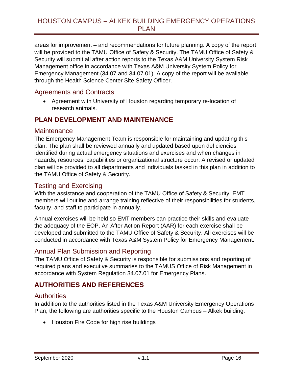areas for improvement – and recommendations for future planning. A copy of the report will be provided to the TAMU Office of Safety & Security. The TAMU Office of Safety & Security will submit all after action reports to the Texas A&M University System Risk Management office in accordance with Texas A&M University System Policy for Emergency Management (34.07 and 34.07.01). A copy of the report will be available through the Health Science Center Site Safety Officer.

## <span id="page-16-0"></span>Agreements and Contracts

 Agreement with University of Houston regarding temporary re-location of research animals.

# <span id="page-16-1"></span>**PLAN DEVELOPMENT AND MAINTENANCE**

#### <span id="page-16-2"></span>**Maintenance**

The Emergency Management Team is responsible for maintaining and updating this plan. The plan shall be reviewed annually and updated based upon deficiencies identified during actual emergency situations and exercises and when changes in hazards, resources, capabilities or organizational structure occur. A revised or updated plan will be provided to all departments and individuals tasked in this plan in addition to the TAMU Office of Safety & Security.

## <span id="page-16-3"></span>Testing and Exercising

With the assistance and cooperation of the TAMU Office of Safety & Security, EMT members will outline and arrange training reflective of their responsibilities for students, faculty, and staff to participate in annually.

Annual exercises will be held so EMT members can practice their skills and evaluate the adequacy of the EOP. An After Action Report (AAR) for each exercise shall be developed and submitted to the TAMU Office of Safety & Security. All exercises will be conducted in accordance with Texas A&M System Policy for Emergency Management.

## <span id="page-16-4"></span>Annual Plan Submission and Reporting

The TAMU Office of Safety & Security is responsible for submissions and reporting of required plans and executive summaries to the TAMUS Office of Risk Management in accordance with System Regulation 34.07.01 for Emergency Plans.

# <span id="page-16-5"></span>**AUTHORITIES AND REFERENCES**

## <span id="page-16-6"></span>**Authorities**

In addition to the authorities listed in the Texas A&M University Emergency Operations Plan, the following are authorities specific to the Houston Campus – Alkek building.

• Houston Fire Code for high rise buildings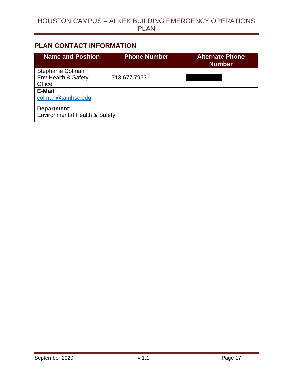## <span id="page-17-0"></span>**PLAN CONTACT INFORMATION**

| <b>Name and Position</b>                                | <b>Phone Number</b> | <b>Alternate Phone</b><br><b>Number</b> |  |
|---------------------------------------------------------|---------------------|-----------------------------------------|--|
| Stephanie Colman<br>Env Health & Safety<br>Officer      | 713.677.7953        |                                         |  |
| E-Mail:<br>colman@tamhsc.edu                            |                     |                                         |  |
| Department:<br><b>Environmental Health &amp; Safety</b> |                     |                                         |  |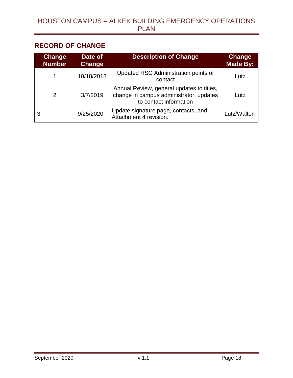# <span id="page-18-0"></span>**RECORD OF CHANGE**

| <b>Change</b><br><b>Number</b> | Date of<br>Change | <b>Description of Change</b>                                                                                   | <b>Change</b><br><b>Made By:</b> |
|--------------------------------|-------------------|----------------------------------------------------------------------------------------------------------------|----------------------------------|
|                                | 10/18/2018        | Updated HSC Administration points of<br>contact                                                                | Lutz                             |
| 2                              | 3/7/2019          | Annual Review, general updates to titles,<br>change in campus administrator, updates<br>to contact information | Lutz                             |
| 3                              | 9/25/2020         | Update signature page, contacts, and<br>Attachment 4 revision.                                                 | Lutz/Walton                      |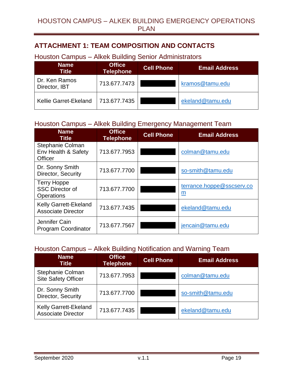# <span id="page-19-0"></span>**ATTACHMENT 1: TEAM COMPOSITION AND CONTACTS**

# <span id="page-19-1"></span>Houston Campus – Alkek Building Senior Administrators

| <b>Name</b><br><b>Title</b>    | <b>Office</b><br><b>Telephone</b> | <b>Cell Phone</b> | <b>Email Address</b> |
|--------------------------------|-----------------------------------|-------------------|----------------------|
| Dr. Ken Ramos<br>Director, IBT | 713.677.7473                      |                   | kramos@tamu.edu      |
| Kellie Garret-Ekeland          | 713.677.7435                      |                   | ekeland@tamu.edu     |

# <span id="page-19-2"></span>Houston Campus – Alkek Building Emergency Management Team

| <b>Name</b><br><b>Title</b>                                       | <b>Office</b><br><b>Telephone</b> | <b>Cell Phone</b> | <b>Email Address</b>           |
|-------------------------------------------------------------------|-----------------------------------|-------------------|--------------------------------|
| Stephanie Colman<br>Env Health & Safety<br><b>Officer</b>         | 713.677.7953                      |                   | colman@tamu.edu                |
| Dr. Sonny Smith<br>Director, Security                             | 713.677.7700                      |                   | so-smith@tamu.edu              |
| <b>Terry Hoppe</b><br><b>SSC Director of</b><br><b>Operations</b> | 713.677.7700                      |                   | terrance.hoppe@sscserv.co<br>m |
| Kelly Garrett-Ekeland<br><b>Associate Director</b>                | 713.677.7435                      |                   | ekeland@tamu.edu               |
| Jennifer Cain<br><b>Program Coordinator</b>                       | 713.677.7567                      |                   | jencain@tamu.edu               |

## <span id="page-19-3"></span>Houston Campus – Alkek Building Notification and Warning Team

| <b>Name</b><br>Title                                      | <b>Office</b><br><b>Telephone</b> | <b>Cell Phone</b> | <b>Email Address</b> |
|-----------------------------------------------------------|-----------------------------------|-------------------|----------------------|
| Stephanie Colman<br><b>Site Safety Officer</b>            | 713.677.7953                      |                   | colman@tamu.edu      |
| Dr. Sonny Smith<br>Director, Security                     | 713.677.7700                      |                   | so-smith@tamu.edu    |
| <b>Kelly Garrett-Ekeland</b><br><b>Associate Director</b> | 713.677.7435                      |                   | ekeland@tamu.edu     |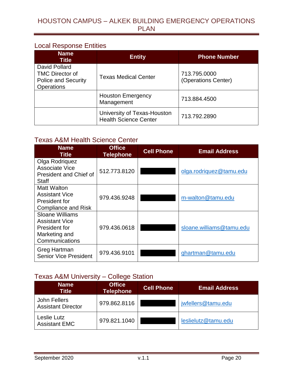## <span id="page-20-0"></span>Local Response Entities

| <b>Name</b><br><b>Title</b>                                                         | <b>Entity</b>                                               | <b>Phone Number</b>                 |
|-------------------------------------------------------------------------------------|-------------------------------------------------------------|-------------------------------------|
| David Pollard<br><b>TMC Director of</b><br><b>Police and Security</b><br>Operations | <b>Texas Medical Center</b>                                 | 713.795.0000<br>(Operations Center) |
|                                                                                     | <b>Houston Emergency</b><br>Management                      | 713.884.4500                        |
|                                                                                     | University of Texas-Houston<br><b>Health Science Center</b> | 713.792.2890                        |

## <span id="page-20-1"></span>Texas A&M Health Science Center

| <b>Name</b><br><b>Title</b>                                                                  | <b>Office</b><br><b>Telephone</b> | <b>Cell Phone</b> | <b>Email Address</b>                                                                          |  |
|----------------------------------------------------------------------------------------------|-----------------------------------|-------------------|-----------------------------------------------------------------------------------------------|--|
| Olga Rodriguez<br>Associate Vice<br><b>President and Chief of</b><br><b>Staff</b>            | 512.773.8120                      |                   | olga.rodriguez@tamu.edu<br>m-walton@tamu.edu<br>sloane.williams@tamu.edu<br>ghartman@tamu.edu |  |
| Matt Walton<br><b>Assistant Vice</b><br>President for<br><b>Compliance and Risk</b>          | 979.436.9248                      |                   |                                                                                               |  |
| Sloane Williams<br><b>Assistant Vice</b><br>President for<br>Marketing and<br>Communications | 979.436.0618                      |                   |                                                                                               |  |
| Greg Hartman<br><b>Senior Vice President</b>                                                 | 979.436.9101                      |                   |                                                                                               |  |

## <span id="page-20-2"></span>Texas A&M University – College Station

| <b>Name</b><br>Title                      | <b>Office</b><br><b>Telephone</b> | <b>Cell Phone</b> | <b>Email Address</b> |
|-------------------------------------------|-----------------------------------|-------------------|----------------------|
| John Fellers<br><b>Assistant Director</b> | 979.862.8116                      |                   | jwfellers@tamu.edu   |
| Leslie Lutz<br><b>Assistant EMC</b>       | 979.821.1040                      |                   | leslielutz@tamu.edu  |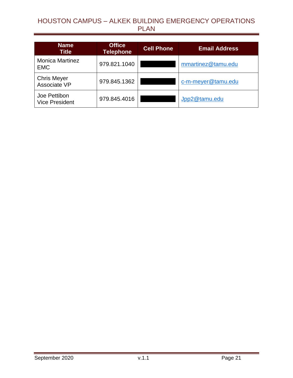| <b>Name</b><br><b>Title</b>           | <b>Office</b><br><b>Telephone</b> | <b>Cell Phone</b> | <b>Email Address</b> |
|---------------------------------------|-----------------------------------|-------------------|----------------------|
| <b>Monica Martinez</b><br><b>EMC</b>  | 979.821.1040                      |                   | mmartinez@tamu.edu   |
| <b>Chris Meyer</b><br>Associate VP    | 979.845.1362                      |                   | c-m-meyer@tamu.edu   |
| Joe Pettibon<br><b>Vice President</b> | 979.845.4016                      |                   | Jpp2@tamu.edu        |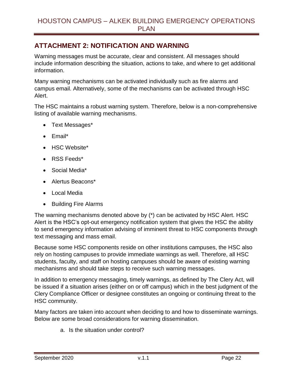# <span id="page-22-0"></span>**ATTACHMENT 2: NOTIFICATION AND WARNING**

Warning messages must be accurate, clear and consistent. All messages should include information describing the situation, actions to take, and where to get additional information.

Many warning mechanisms can be activated individually such as fire alarms and campus email. Alternatively, some of the mechanisms can be activated through HSC Alert.

The HSC maintains a robust warning system. Therefore, below is a non-comprehensive listing of available warning mechanisms.

- Text Messages\*
- Email\*
- HSC Website\*
- RSS Feeds\*
- Social Media\*
- Alertus Beacons\*
- Local Media
- Building Fire Alarms

The warning mechanisms denoted above by (\*) can be activated by HSC Alert. HSC Alert is the HSC's opt-out emergency notification system that gives the HSC the ability to send emergency information advising of imminent threat to HSC components through text messaging and mass email.

Because some HSC components reside on other institutions campuses, the HSC also rely on hosting campuses to provide immediate warnings as well. Therefore, all HSC students, faculty, and staff on hosting campuses should be aware of existing warning mechanisms and should take steps to receive such warning messages.

In addition to emergency messaging, timely warnings, as defined by The Clery Act, will be issued if a situation arises (either on or off campus) which in the best judgment of the Clery Compliance Officer or designee constitutes an ongoing or continuing threat to the HSC community.

Many factors are taken into account when deciding to and how to disseminate warnings. Below are some broad considerations for warning dissemination.

a. Is the situation under control?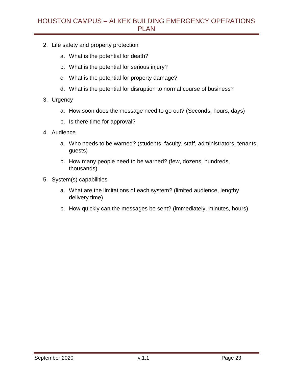- 2. Life safety and property protection
	- a. What is the potential for death?
	- b. What is the potential for serious injury?
	- c. What is the potential for property damage?
	- d. What is the potential for disruption to normal course of business?
- 3. Urgency
	- a. How soon does the message need to go out? (Seconds, hours, days)
	- b. Is there time for approval?
- 4. Audience
	- a. Who needs to be warned? (students, faculty, staff, administrators, tenants, guests)
	- b. How many people need to be warned? (few, dozens, hundreds, thousands)
- 5. System(s) capabilities
	- a. What are the limitations of each system? (limited audience, lengthy delivery time)
	- b. How quickly can the messages be sent? (immediately, minutes, hours)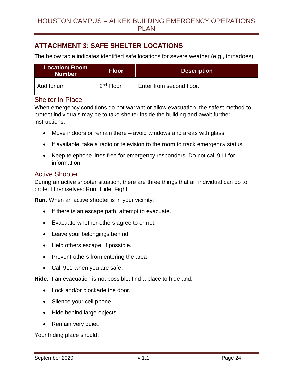# <span id="page-24-0"></span>**ATTACHMENT 3: SAFE SHELTER LOCATIONS**

The below table indicates identified safe locations for severe weather (e.g., tornadoes).

| <b>Location/Room</b><br><b>Number</b> | <b>Floor</b> | <b>Description</b>       |
|---------------------------------------|--------------|--------------------------|
| Auditorium                            | $2nd$ Floor  | Enter from second floor. |

#### <span id="page-24-1"></span>Shelter-in-Place

When emergency conditions do not warrant or allow evacuation, the safest method to protect individuals may be to take shelter inside the building and await further instructions.

- Move indoors or remain there avoid windows and areas with glass.
- If available, take a radio or television to the room to track emergency status.
- Keep telephone lines free for emergency responders. Do not call 911 for information.

#### <span id="page-24-2"></span>Active Shooter

During an active shooter situation, there are three things that an individual can do to protect themselves: Run. Hide. Fight.

**Run.** When an active shooter is in your vicinity:

- If there is an escape path, attempt to evacuate.
- Evacuate whether others agree to or not.
- Leave your belongings behind.
- Help others escape, if possible.
- Prevent others from entering the area.
- Call 911 when you are safe.

**Hide.** If an evacuation is not possible, find a place to hide and:

- Lock and/or blockade the door.
- Silence your cell phone.
- Hide behind large objects.
- Remain very quiet.

Your hiding place should: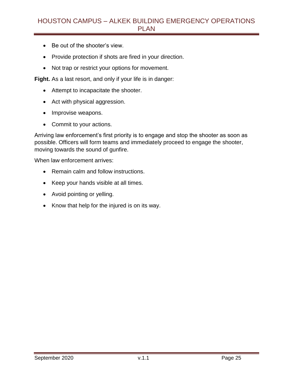- Be out of the shooter's view.
- Provide protection if shots are fired in your direction.
- Not trap or restrict your options for movement.

**Fight.** As a last resort, and only if your life is in danger:

- Attempt to incapacitate the shooter.
- Act with physical aggression.
- Improvise weapons.
- Commit to your actions.

Arriving law enforcement's first priority is to engage and stop the shooter as soon as possible. Officers will form teams and immediately proceed to engage the shooter, moving towards the sound of gunfire.

When law enforcement arrives:

- Remain calm and follow instructions.
- Keep your hands visible at all times.
- Avoid pointing or yelling.
- Know that help for the injured is on its way.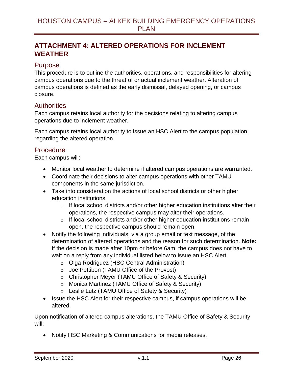# <span id="page-26-0"></span>**ATTACHMENT 4: ALTERED OPERATIONS FOR INCLEMENT WEATHER**

#### <span id="page-26-1"></span>Purpose

This procedure is to outline the authorities, operations, and responsibilities for altering campus operations due to the threat of or actual inclement weather. Alteration of campus operations is defined as the early dismissal, delayed opening, or campus closure.

#### <span id="page-26-2"></span>**Authorities**

Each campus retains local authority for the decisions relating to altering campus operations due to inclement weather.

Each campus retains local authority to issue an HSC Alert to the campus population regarding the altered operation.

## <span id="page-26-3"></span>**Procedure**

Each campus will:

- Monitor local weather to determine if altered campus operations are warranted.
- Coordinate their decisions to alter campus operations with other TAMU components in the same jurisdiction.
- Take into consideration the actions of local school districts or other higher education institutions.
	- $\circ$  If local school districts and/or other higher education institutions alter their operations, the respective campus may alter their operations.
	- $\circ$  If local school districts and/or other higher education institutions remain open, the respective campus should remain open.
- Notify the following individuals, via a group email or text message, of the determination of altered operations and the reason for such determination. **Note:** If the decision is made after 10pm or before 6am, the campus does not have to wait on a reply from any individual listed below to issue an HSC Alert.
	- o Olga Rodriguez (HSC Central Administration)
	- o Joe Pettibon (TAMU Office of the Provost)
	- o Christopher Meyer (TAMU Office of Safety & Security)
	- o Monica Martinez (TAMU Office of Safety & Security)
	- o Leslie Lutz (TAMU Office of Safety & Security)
- Issue the HSC Alert for their respective campus, if campus operations will be altered.

Upon notification of altered campus alterations, the TAMU Office of Safety & Security will:

Notify HSC Marketing & Communications for media releases.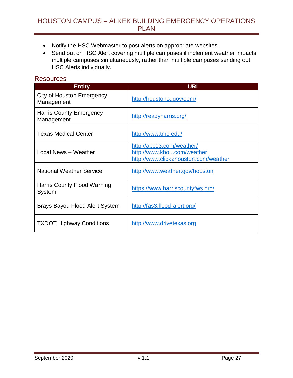- Notify the HSC Webmaster to post alerts on appropriate websites.
- Send out on HSC Alert covering multiple campuses if inclement weather impacts multiple campuses simultaneously, rather than multiple campuses sending out HSC Alerts individually.

#### <span id="page-27-0"></span>**Resources**

| <b>Entity</b>                                | <b>URL</b>                                                                                       |
|----------------------------------------------|--------------------------------------------------------------------------------------------------|
| City of Houston Emergency<br>Management      | http://houstontx.gov/oem/                                                                        |
| <b>Harris County Emergency</b><br>Management | http://readyharris.org/                                                                          |
| <b>Texas Medical Center</b>                  | http://www.tmc.edu/                                                                              |
| Local News - Weather                         | http://abc13.com/weather/<br>http://www.khou.com/weather<br>http://www.click2houston.com/weather |
| <b>National Weather Service</b>              | http://www.weather.gov/houston                                                                   |
| <b>Harris County Flood Warning</b><br>System | https://www.harriscountyfws.org/                                                                 |
| Brays Bayou Flood Alert System               | http://fas3.flood-alert.org/                                                                     |
| <b>TXDOT Highway Conditions</b>              | http://www.drivetexas.org                                                                        |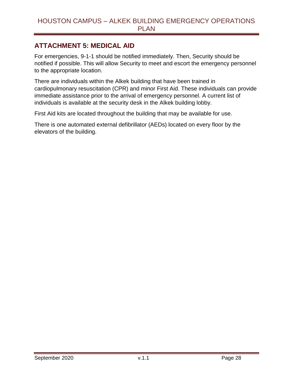## <span id="page-28-0"></span>**ATTACHMENT 5: MEDICAL AID**

For emergencies, 9-1-1 should be notified immediately. Then, Security should be notified if possible. This will allow Security to meet and escort the emergency personnel to the appropriate location.

There are individuals within the Alkek building that have been trained in cardiopulmonary resuscitation (CPR) and minor First Aid. These individuals can provide immediate assistance prior to the arrival of emergency personnel. A current list of individuals is available at the security desk in the Alkek building lobby.

First Aid kits are located throughout the building that may be available for use.

There is one automated external defibrillator (AEDs) located on every floor by the elevators of the building.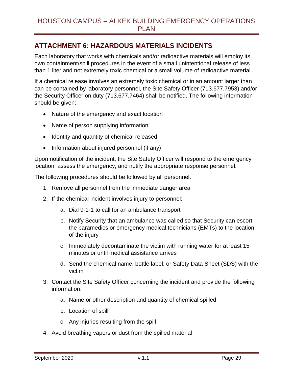# <span id="page-29-0"></span>**ATTACHMENT 6: HAZARDOUS MATERIALS INCIDENTS**

Each laboratory that works with chemicals and/or radioactive materials will employ its own containment/spill procedures in the event of a small unintentional release of less than 1 liter and not extremely toxic chemical or a small volume of radioactive material.

If a chemical release involves an extremely toxic chemical or in an amount larger than can be contained by laboratory personnel, the Site Safety Officer (713.677.7953) and/or the Security Officer on duty (713.677.7464) shall be notified. The following information should be given:

- Nature of the emergency and exact location
- Name of person supplying information
- Identity and quantity of chemical released
- Information about injured personnel (if any)

Upon notification of the incident, the Site Safety Officer will respond to the emergency location, assess the emergency, and notify the appropriate response personnel.

The following procedures should be followed by all personnel.

- 1. Remove all personnel from the immediate danger area
- 2. If the chemical incident involves injury to personnel:
	- a. Dial 9-1-1 to call for an ambulance transport
	- b. Notify Security that an ambulance was called so that Security can escort the paramedics or emergency medical technicians (EMTs) to the location of the injury
	- c. Immediately decontaminate the victim with running water for at least 15 minutes or until medical assistance arrives
	- d. Send the chemical name, bottle label, or Safety Data Sheet (SDS) with the victim
- 3. Contact the Site Safety Officer concerning the incident and provide the following information:
	- a. Name or other description and quantity of chemical spilled
	- b. Location of spill
	- c. Any injuries resulting from the spill
- 4. Avoid breathing vapors or dust from the spilled material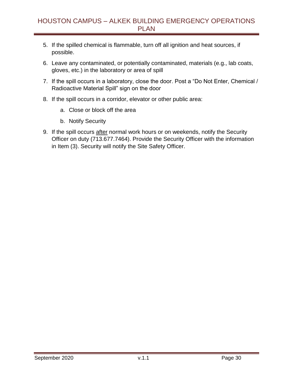- 5. If the spilled chemical is flammable, turn off all ignition and heat sources, if possible.
- 6. Leave any contaminated, or potentially contaminated, materials (e.g., lab coats, gloves, etc.) in the laboratory or area of spill
- 7. If the spill occurs in a laboratory, close the door. Post a "Do Not Enter, Chemical / Radioactive Material Spill" sign on the door
- 8. If the spill occurs in a corridor, elevator or other public area:
	- a. Close or block off the area
	- b. Notify Security
- 9. If the spill occurs after normal work hours or on weekends, notify the Security Officer on duty (713.677.7464). Provide the Security Officer with the information in Item (3). Security will notify the Site Safety Officer.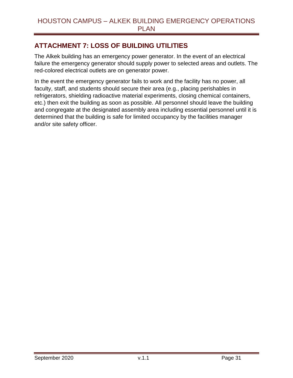# <span id="page-31-0"></span>**ATTACHMENT 7: LOSS OF BUILDING UTILITIES**

The Alkek building has an emergency power generator. In the event of an electrical failure the emergency generator should supply power to selected areas and outlets. The red-colored electrical outlets are on generator power.

In the event the emergency generator fails to work and the facility has no power, all faculty, staff, and students should secure their area (e.g., placing perishables in refrigerators, shielding radioactive material experiments, closing chemical containers, etc.) then exit the building as soon as possible. All personnel should leave the building and congregate at the designated assembly area including essential personnel until it is determined that the building is safe for limited occupancy by the facilities manager and/or site safety officer.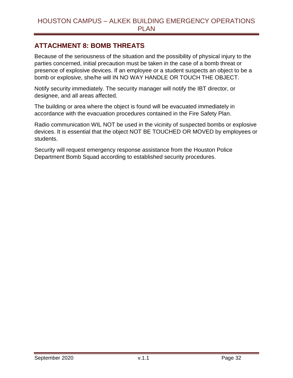## <span id="page-32-0"></span>**ATTACHMENT 8: BOMB THREATS**

Because of the seriousness of the situation and the possibility of physical injury to the parties concerned, initial precaution must be taken in the case of a bomb threat or presence of explosive devices. If an employee or a student suspects an object to be a bomb or explosive, she/he will IN NO WAY HANDLE OR TOUCH THE OBJECT.

Notify security immediately. The security manager will notify the IBT director, or designee, and all areas affected.

The building or area where the object is found will be evacuated immediately in accordance with the evacuation procedures contained in the Fire Safety Plan.

Radio communication WIL NOT be used in the vicinity of suspected bombs or explosive devices. It is essential that the object NOT BE TOUCHED OR MOVED by employees or students.

Security will request emergency response assistance from the Houston Police Department Bomb Squad according to established security procedures.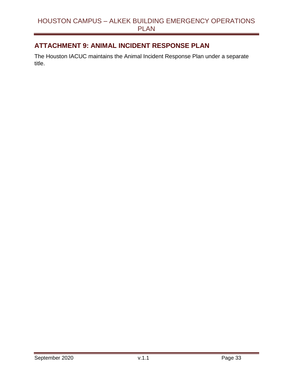# <span id="page-33-0"></span>**ATTACHMENT 9: ANIMAL INCIDENT RESPONSE PLAN**

The Houston IACUC maintains the Animal Incident Response Plan under a separate title.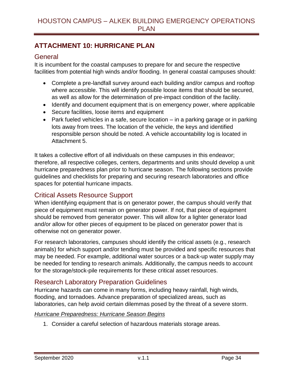# <span id="page-34-0"></span>**ATTACHMENT 10: HURRICANE PLAN**

#### <span id="page-34-1"></span>**General**

It is incumbent for the coastal campuses to prepare for and secure the respective facilities from potential high winds and/or flooding. In general coastal campuses should:

- Complete a pre-landfall survey around each building and/or campus and rooftop where accessible. This will identify possible loose items that should be secured, as well as allow for the determination of pre-impact condition of the facility.
- Identify and document equipment that is on emergency power, where applicable
- Secure facilities, loose items and equipment
- Park fueled vehicles in a safe, secure location in a parking garage or in parking lots away from trees. The location of the vehicle, the keys and identified responsible person should be noted. A vehicle accountability log is located in Attachment 5.

It takes a collective effort of all individuals on these campuses in this endeavor; therefore, all respective colleges, centers, departments and units should develop a unit hurricane preparedness plan prior to hurricane season. The following sections provide guidelines and checklists for preparing and securing research laboratories and office spaces for potential hurricane impacts.

## <span id="page-34-2"></span>Critical Assets Resource Support

When identifying equipment that is on generator power, the campus should verify that piece of equipment must remain on generator power. If not, that piece of equipment should be removed from generator power. This will allow for a lighter generator load and/or allow for other pieces of equipment to be placed on generator power that is otherwise not on generator power.

For research laboratories, campuses should identify the critical assets (e.g., research animals) for which support and/or tending must be provided and specific resources that may be needed. For example, additional water sources or a back-up water supply may be needed for tending to research animals. Additionally, the campus needs to account for the storage/stock-pile requirements for these critical asset resources.

## <span id="page-34-3"></span>Research Laboratory Preparation Guidelines

Hurricane hazards can come in many forms, including heavy rainfall, high winds, flooding, and tornadoes. Advance preparation of specialized areas, such as laboratories, can help avoid certain dilemmas posed by the threat of a severe storm.

#### *Hurricane Preparedness: Hurricane Season Begins*

1. Consider a careful selection of hazardous materials storage areas.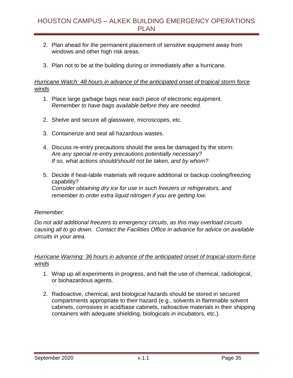- 2. Plan ahead for the permanent placement of sensitive equipment away from windows and other high risk areas.
- 3. Plan not to be at the building during or immediately after a hurricane.

#### *Hurricane Watch: 48 hours in advance of the anticipated onset of tropical storm force winds*

- 1. Place large garbage bags near each piece of electronic equipment. *Remember to have bags available before they are needed.*
- 2. Shelve and secure all glassware, microscopes, etc.
- 3. Containerize and seal all hazardous wastes.
- 4. Discuss re-entry precautions should the area be damaged by the storm: *Are any special re-entry precautions potentially necessary? If so, what actions should/should not be taken, and by whom?*
- 5. Decide if heat-labile materials will require additional or backup cooling/freezing capability? *Consider obtaining dry ice for use in such freezers or refrigerators, and remember to order extra liquid nitrogen if you are getting low.*

#### *Remember:*

*Do not add additional freezers to emergency circuits, as this may overload circuits causing all to go down. Contact the Facilities Office in advance for advice on available circuits in your area.*

#### *Hurricane Warning: 36 hours in advance of the anticipated onset of tropical-storm-force winds*

- 1. Wrap up all experiments in progress, and halt the use of chemical, radiological, or biohazardous agents.
- 2. Radioactive, chemical, and biological hazards should be stored in secured compartments appropriate to their hazard (e.g., solvents in flammable solvent cabinets, corrosives in acid/base cabinets, radioactive materials in their shipping containers with adequate shielding, biologicals in incubators, etc.).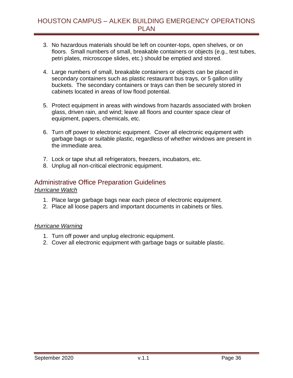- 3. No hazardous materials should be left on counter-tops, open shelves, or on floors. Small numbers of small, breakable containers or objects (e.g., test tubes, petri plates, microscope slides, etc.) should be emptied and stored.
- 4. Large numbers of small, breakable containers or objects can be placed in secondary containers such as plastic restaurant bus trays, or 5 gallon utility buckets. The secondary containers or trays can then be securely stored in cabinets located in areas of low flood potential.
- 5. Protect equipment in areas with windows from hazards associated with broken glass, driven rain, and wind; leave all floors and counter space clear of equipment, papers, chemicals, etc.
- 6. Turn off power to electronic equipment. Cover all electronic equipment with garbage bags or suitable plastic, regardless of whether windows are present in the immediate area.
- 7. Lock or tape shut all refrigerators, freezers, incubators, etc.
- 8. Unplug all non-critical electronic equipment.

# <span id="page-36-0"></span>Administrative Office Preparation Guidelines

#### *Hurricane Watch*

- 1. Place large garbage bags near each piece of electronic equipment.
- 2. Place all loose papers and important documents in cabinets or files.

#### *Hurricane Warning*

- 1. Turn off power and unplug electronic equipment.
- 2. Cover all electronic equipment with garbage bags or suitable plastic.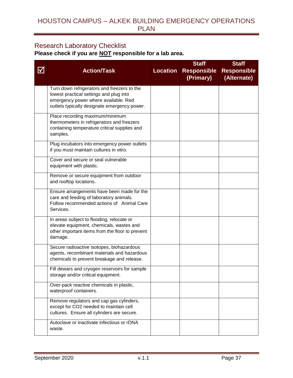# <span id="page-37-0"></span>Research Laboratory Checklist

**Please check if you are NOT responsible for a lab area.**

|          |                                                                                             |                 | <b>Staff</b>                    | <b>Staff</b>                      |
|----------|---------------------------------------------------------------------------------------------|-----------------|---------------------------------|-----------------------------------|
| <u>V</u> | <b>Action/Task</b>                                                                          | <b>Location</b> | <b>Responsible</b><br>(Primary) | <b>Responsible</b><br>(Alternate) |
|          |                                                                                             |                 |                                 |                                   |
|          | Turn down refrigerators and freezers to the<br>lowest practical settings and plug into      |                 |                                 |                                   |
|          | emergency power where available. Red                                                        |                 |                                 |                                   |
|          | outlets typically designate emergency power.                                                |                 |                                 |                                   |
|          | Place recording maximum/minimum                                                             |                 |                                 |                                   |
|          | thermometers in refrigerators and freezers<br>containing temperature critical supplies and  |                 |                                 |                                   |
|          | samples.                                                                                    |                 |                                 |                                   |
|          | Plug incubators into emergency power outlets                                                |                 |                                 |                                   |
|          | if you must maintain cultures in vitro.                                                     |                 |                                 |                                   |
|          | Cover and secure or seal vulnerable                                                         |                 |                                 |                                   |
|          | equipment with plastic.                                                                     |                 |                                 |                                   |
|          | Remove or secure equipment from outdoor<br>and rooftop locations.                           |                 |                                 |                                   |
|          | Ensure arrangements have been made for the                                                  |                 |                                 |                                   |
|          | care and feeding of laboratory animals.                                                     |                 |                                 |                                   |
|          | Follow recommended actions of Animal Care<br>Services.                                      |                 |                                 |                                   |
|          | In areas subject to flooding, relocate or                                                   |                 |                                 |                                   |
|          | elevate equipment, chemicals, wastes and<br>other important items from the floor to prevent |                 |                                 |                                   |
|          | damage.                                                                                     |                 |                                 |                                   |
|          | Secure radioactive isotopes, biohazardous                                                   |                 |                                 |                                   |
|          | agents, recombinant materials and hazardous<br>chemicals to prevent breakage and release.   |                 |                                 |                                   |
|          |                                                                                             |                 |                                 |                                   |
|          | Fill dewars and cryogen reservoirs for sample<br>storage and/or critical equipment.         |                 |                                 |                                   |
|          | Over-pack reactive chemicals in plastic,<br>waterproof containers.                          |                 |                                 |                                   |
|          |                                                                                             |                 |                                 |                                   |
|          | Remove regulators and cap gas cylinders,<br>except for CO2 needed to maintain cell          |                 |                                 |                                   |
|          | cultures. Ensure all cylinders are secure.                                                  |                 |                                 |                                   |
|          | Autoclave or inactivate infectious or rDNA                                                  |                 |                                 |                                   |
|          | waste.                                                                                      |                 |                                 |                                   |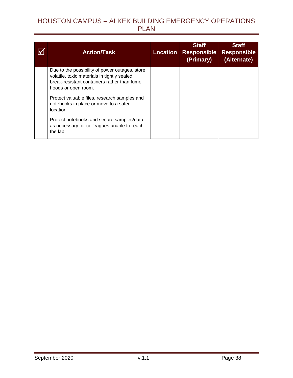| <b>Action/Task</b>                                                                                                                                                   | <b>Location</b> | <b>Staff</b><br><b>Responsible</b><br>(Primary) | <b>Staff</b><br><b>Responsible</b><br>(Alternate) |
|----------------------------------------------------------------------------------------------------------------------------------------------------------------------|-----------------|-------------------------------------------------|---------------------------------------------------|
| Due to the possibility of power outages, store<br>volatile, toxic materials in tightly sealed,<br>break-resistant containers rather than fume<br>hoods or open room. |                 |                                                 |                                                   |
| Protect valuable files, research samples and<br>notebooks in place or move to a safer<br>location.                                                                   |                 |                                                 |                                                   |
| Protect notebooks and secure samples/data<br>as necessary for colleagues unable to reach<br>the lab.                                                                 |                 |                                                 |                                                   |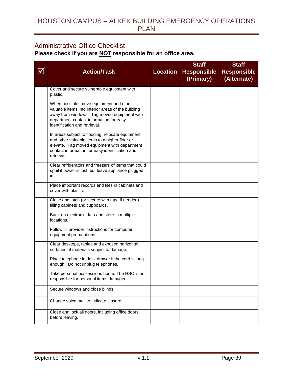## <span id="page-39-0"></span>Administrative Office Checklist

**Please check if you are NOT responsible for an office area.**

|                  |                                                                                                                                                                                                                          |                 | <b>Staff</b>                    | <b>Staff</b>                      |
|------------------|--------------------------------------------------------------------------------------------------------------------------------------------------------------------------------------------------------------------------|-----------------|---------------------------------|-----------------------------------|
| $\bm{\boxtimes}$ | <b>Action/Task</b>                                                                                                                                                                                                       | <b>Location</b> | <b>Responsible</b><br>(Primary) | <b>Responsible</b><br>(Alternate) |
|                  |                                                                                                                                                                                                                          |                 |                                 |                                   |
|                  | Cover and secure vulnerable equipment with<br>plastic.                                                                                                                                                                   |                 |                                 |                                   |
|                  | When possible, move equipment and other<br>valuable items into interior areas of the building<br>away from windows. Tag moved equipment with<br>department contact information for easy<br>identification and retrieval. |                 |                                 |                                   |
|                  | In areas subject to flooding, relocate equipment<br>and other valuable items to a higher floor or<br>elevate. Tag moved equipment with department<br>contact information for easy identification and<br>retrieval.       |                 |                                 |                                   |
|                  | Clear refrigerators and freezers of items that could<br>spoil if power is lost, but leave appliance plugged<br>in.                                                                                                       |                 |                                 |                                   |
|                  | Place important records and files in cabinets and<br>cover with plastic.                                                                                                                                                 |                 |                                 |                                   |
|                  | Close and latch (or secure with tape if needed)<br>filling cabinets and cupboards.                                                                                                                                       |                 |                                 |                                   |
|                  | Back-up electronic data and store in multiple<br>locations.                                                                                                                                                              |                 |                                 |                                   |
|                  | Follow IT provider instructions for computer<br>equipment preparations.                                                                                                                                                  |                 |                                 |                                   |
|                  | Clear desktops, tables and exposed horizontal<br>surfaces of materials subject to damage.                                                                                                                                |                 |                                 |                                   |
|                  | Place telephone in desk drawer if the cord is long<br>enough. Do not unplug telephones.                                                                                                                                  |                 |                                 |                                   |
|                  | Take personal possessions home. The HSC is not<br>responsible for personal items damaged.                                                                                                                                |                 |                                 |                                   |
|                  | Secure windows and close blinds.                                                                                                                                                                                         |                 |                                 |                                   |
|                  | Change voice mail to indicate closure.                                                                                                                                                                                   |                 |                                 |                                   |
|                  | Close and lock all doors, including office doors,<br>before leaving.                                                                                                                                                     |                 |                                 |                                   |